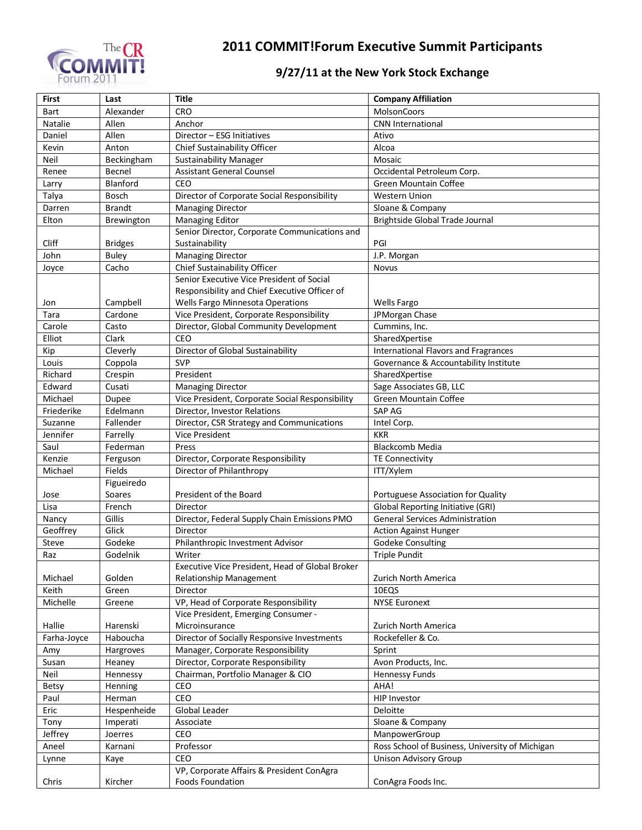

## **2011 COMMIT!Forum Executive Summit Participants**

## **9/27/11 at the New York Stock Exchange**

| <b>First</b> | Last            | <b>Title</b>                                    | <b>Company Affiliation</b>                      |
|--------------|-----------------|-------------------------------------------------|-------------------------------------------------|
| Bart         | Alexander       | <b>CRO</b>                                      | MolsonCoors                                     |
| Natalie      | Allen           | Anchor                                          | <b>CNN</b> International                        |
| Daniel       | Allen           | Director - ESG Initiatives                      | Ativo                                           |
| Kevin        | Anton           | Chief Sustainability Officer                    | Alcoa                                           |
| Neil         | Beckingham      | <b>Sustainability Manager</b>                   | Mosaic                                          |
| Renee        | Becnel          | <b>Assistant General Counsel</b>                | Occidental Petroleum Corp.                      |
| Larry        | <b>Blanford</b> | CEO                                             | <b>Green Mountain Coffee</b>                    |
| Talya        | Bosch           | Director of Corporate Social Responsibility     | <b>Western Union</b>                            |
| Darren       | <b>Brandt</b>   | <b>Managing Director</b>                        | Sloane & Company                                |
| Elton        | Brewington      | <b>Managing Editor</b>                          | Brightside Global Trade Journal                 |
|              |                 | Senior Director, Corporate Communications and   |                                                 |
| Cliff        | <b>Bridges</b>  | Sustainability                                  | PGI                                             |
| John         | <b>Buley</b>    | <b>Managing Director</b>                        | J.P. Morgan                                     |
| Joyce        | Cacho           | Chief Sustainability Officer                    | Novus                                           |
|              |                 | Senior Executive Vice President of Social       |                                                 |
|              |                 | Responsibility and Chief Executive Officer of   |                                                 |
| Jon          | Campbell        | Wells Fargo Minnesota Operations                | <b>Wells Fargo</b>                              |
| Tara         | Cardone         | Vice President, Corporate Responsibility        | JPMorgan Chase                                  |
| Carole       | Casto           | Director, Global Community Development          | Cummins, Inc.                                   |
| Elliot       | Clark           | CEO                                             | SharedXpertise                                  |
| Kip          | Cleverly        | Director of Global Sustainability               | International Flavors and Fragrances            |
| Louis        | Coppola         | <b>SVP</b>                                      | Governance & Accountability Institute           |
| Richard      | Crespin         | President                                       | SharedXpertise                                  |
| Edward       | Cusati          | <b>Managing Director</b>                        | Sage Associates GB, LLC                         |
| Michael      | Dupee           | Vice President, Corporate Social Responsibility | Green Mountain Coffee                           |
| Friederike   | Edelmann        | Director, Investor Relations                    | SAP AG                                          |
| Suzanne      | Fallender       | Director, CSR Strategy and Communications       | Intel Corp.                                     |
| Jennifer     | Farrelly        | <b>Vice President</b>                           | <b>KKR</b>                                      |
| Saul         | Federman        | Press                                           | <b>Blackcomb Media</b>                          |
| Kenzie       | Ferguson        | Director, Corporate Responsibility              | <b>TE Connectivity</b>                          |
| Michael      | Fields          | Director of Philanthropy                        | ITT/Xylem                                       |
|              | Figueiredo      |                                                 |                                                 |
| Jose         | Soares          | President of the Board                          | Portuguese Association for Quality              |
| Lisa         | French          | Director                                        | <b>Global Reporting Initiative (GRI)</b>        |
| Nancy        | Gillis          | Director, Federal Supply Chain Emissions PMO    | <b>General Services Administration</b>          |
| Geoffrey     | Glick           | Director                                        | <b>Action Against Hunger</b>                    |
| Steve        | Godeke          | Philanthropic Investment Advisor                | Godeke Consulting                               |
| Raz          | Godelnik        | Writer                                          | <b>Triple Pundit</b>                            |
|              |                 | Executive Vice President, Head of Global Broker |                                                 |
| Michael      | Golden          | <b>Relationship Management</b>                  | Zurich North America                            |
| Keith        | Green           | Director                                        | 10EQS                                           |
| Michelle     | Greene          | VP, Head of Corporate Responsibility            | <b>NYSE Euronext</b>                            |
|              |                 | Vice President, Emerging Consumer -             |                                                 |
| Hallie       | Harenski        | Microinsurance                                  | Zurich North America                            |
| Farha-Joyce  | Haboucha        | Director of Socially Responsive Investments     | Rockefeller & Co.                               |
| Amy          | Hargroves       | Manager, Corporate Responsibility               | Sprint                                          |
| Susan        | Heaney          | Director, Corporate Responsibility              | Avon Products, Inc.                             |
| Neil         | Hennessy        | Chairman, Portfolio Manager & CIO               | <b>Hennessy Funds</b>                           |
| Betsy        | Henning         | CEO                                             | AHA!                                            |
| Paul         | Herman          | CEO                                             | <b>HIP Investor</b>                             |
| Eric         | Hespenheide     | Global Leader                                   | Deloitte                                        |
| Tony         | Imperati        | Associate                                       | Sloane & Company                                |
| Jeffrey      | Joerres         | CEO                                             | ManpowerGroup                                   |
| Aneel        | Karnani         | Professor                                       | Ross School of Business, University of Michigan |
| Lynne        | Kaye            | CEO                                             | Unison Advisory Group                           |
|              |                 | VP, Corporate Affairs & President ConAgra       |                                                 |
| Chris        | Kircher         | Foods Foundation                                | ConAgra Foods Inc.                              |